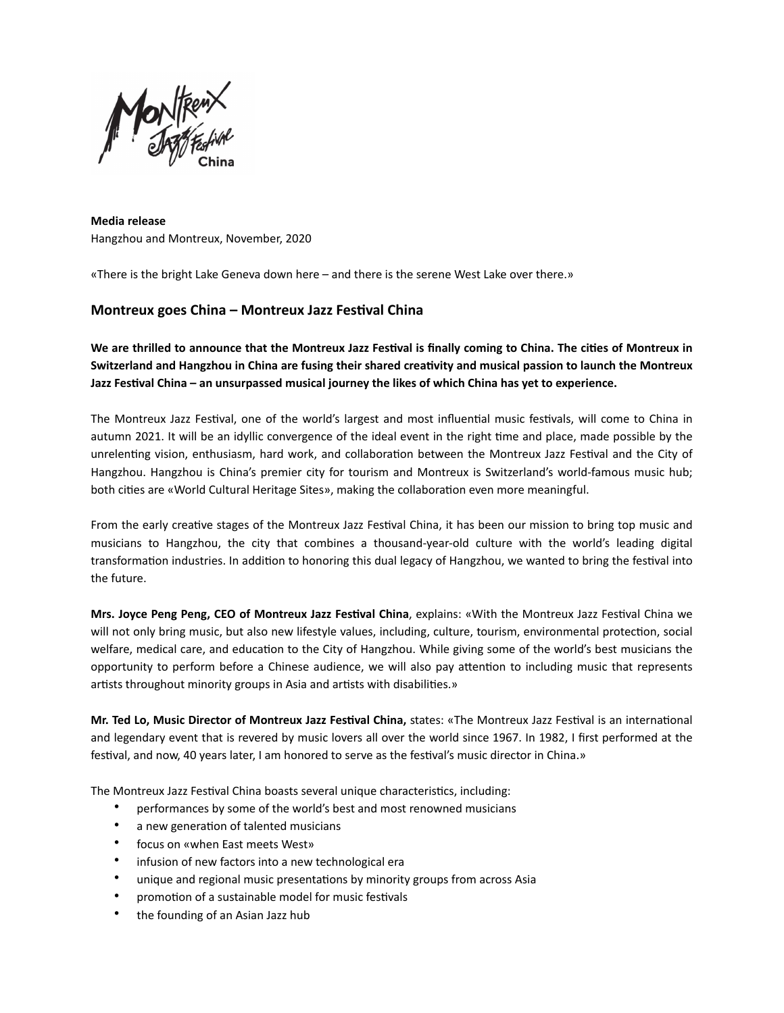

**Media release** Hangzhou and Montreux, November, 2020

«There is the bright Lake Geneva down here – and there is the serene West Lake over there.»

## **Montreux goes China – Montreux Jazz Festival China**

**We are thrilled to announce that the Montreux Jazz Festival is finally coming to China. The cities of Montreux in Switzerland and Hangzhou in China are fusing their shared creativity and musical passion to launch the Montreux Jazz Festival China – an unsurpassed musical journey the likes of which China has yet to experience.**

The Montreux Jazz Festival, one of the world's largest and most influential music festivals, will come to China in autumn 2021. It will be an idyllic convergence of the ideal event in the right time and place, made possible by the unrelenting vision, enthusiasm, hard work, and collaboration between the Montreux Jazz Festival and the City of Hangzhou. Hangzhou is China's premier city for tourism and Montreux is Switzerland's world-famous music hub; both cities are «World Cultural Heritage Sites», making the collaboration even more meaningful.

From the early creative stages of the Montreux Jazz Festival China, it has been our mission to bring top music and musicians to Hangzhou, the city that combines a thousand-year-old culture with the world's leading digital transformation industries. In addition to honoring this dual legacy of Hangzhou, we wanted to bring the festival into the future.

**Mrs. Joyce Peng Peng, CEO of Montreux Jazz Festival China**, explains: «With the Montreux Jazz Festival China we will not only bring music, but also new lifestyle values, including, culture, tourism, environmental protection, social welfare, medical care, and education to the City of Hangzhou. While giving some of the world's best musicians the opportunity to perform before a Chinese audience, we will also pay attention to including music that represents artists throughout minority groups in Asia and artists with disabilities.»

**Mr. Ted Lo, Music Director of Montreux Jazz Festival China,** states: «The Montreux Jazz Festival is an international and legendary event that is revered by music lovers all over the world since 1967. In 1982, I first performed at the festival, and now, 40 years later, I am honored to serve as the festival's music director in China.»

The Montreux Jazz Festival China boasts several unique characteristics, including:

- performances by some of the world's best and most renowned musicians
- a new generation of talented musicians
- focus on «when East meets West»
- infusion of new factors into a new technological era
- unique and regional music presentations by minority groups from across Asia
- promotion of a sustainable model for music festivals
- the founding of an Asian Jazz hub